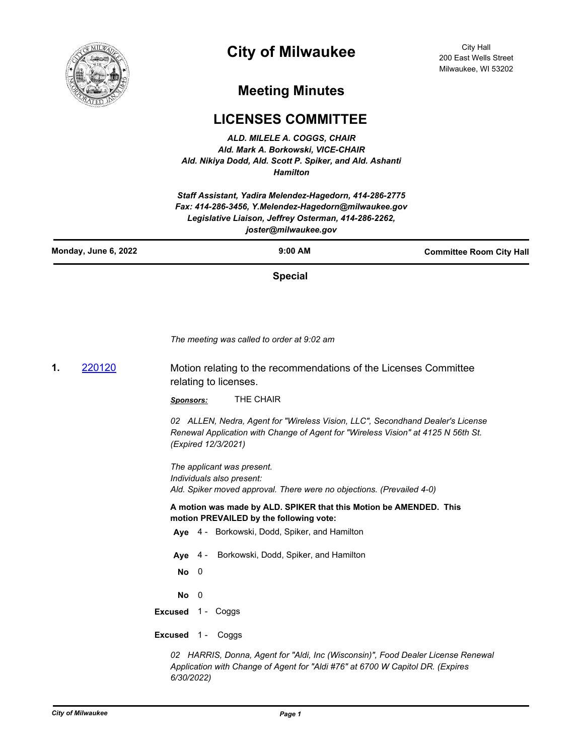

# **City of Milwaukee**

City Hall 200 East Wells Street Milwaukee, WI 53202

## **Meeting Minutes**

## **LICENSES COMMITTEE**

*ALD. MILELE A. COGGS, CHAIR Ald. Mark A. Borkowski, VICE-CHAIR Ald. Nikiya Dodd, Ald. Scott P. Spiker, and Ald. Ashanti Hamilton*

*Staff Assistant, Yadira Melendez-Hagedorn, 414-286-2775 Fax: 414-286-3456, Y.Melendez-Hagedorn@milwaukee.gov Legislative Liaison, Jeffrey Osterman, 414-286-2262, joster@milwaukee.gov*

**Special**

*The meeting was called to order at 9:02 am*

**1. [220120](http://milwaukee.legistar.com/gateway.aspx?m=l&id=/matter.aspx?key=62171)** Motion relating to the recommendations of the Licenses Committee relating to licenses.

*Sponsors:* THE CHAIR

*02 ALLEN, Nedra, Agent for "Wireless Vision, LLC", Secondhand Dealer's License Renewal Application with Change of Agent for "Wireless Vision" at 4125 N 56th St. (Expired 12/3/2021)*

*The applicant was present. Individuals also present: Ald. Spiker moved approval. There were no objections. (Prevailed 4-0)*

**A motion was made by ALD. SPIKER that this Motion be AMENDED. This motion PREVAILED by the following vote:**

- **Aye** 4 Borkowski, Dodd, Spiker, and Hamilton
- **Aye** 4 Borkowski, Dodd, Spiker, and Hamilton
- **No** 0

**No** 0

**Excused** 1 - Coggs

**Excused** 1 - Coggs

*02 HARRIS, Donna, Agent for "Aldi, Inc (Wisconsin)", Food Dealer License Renewal Application with Change of Agent for "Aldi #76" at 6700 W Capitol DR. (Expires 6/30/2022)*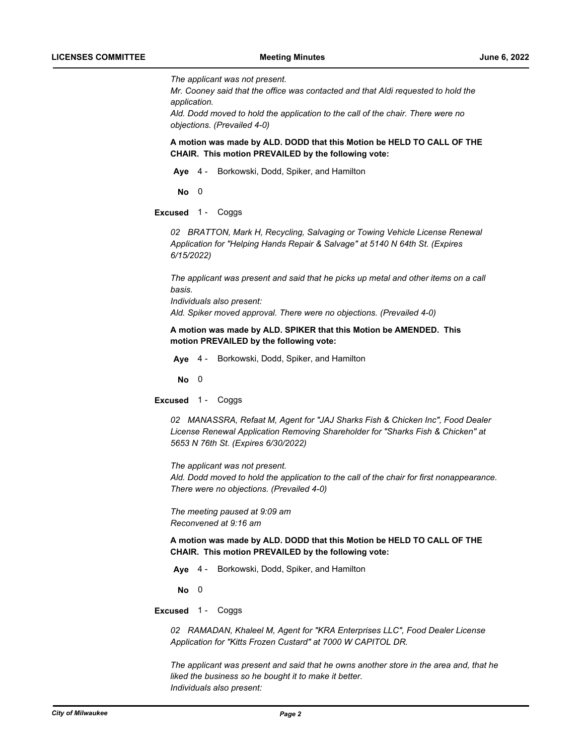*The applicant was not present.*

*Mr. Cooney said that the office was contacted and that Aldi requested to hold the application.*

*Ald. Dodd moved to hold the application to the call of the chair. There were no objections. (Prevailed 4-0)*

**A motion was made by ALD. DODD that this Motion be HELD TO CALL OF THE CHAIR. This motion PREVAILED by the following vote:**

**Aye** 4 - Borkowski, Dodd, Spiker, and Hamilton

**No** 0

**Excused** 1 - Coggs

*02 BRATTON, Mark H, Recycling, Salvaging or Towing Vehicle License Renewal Application for "Helping Hands Repair & Salvage" at 5140 N 64th St. (Expires 6/15/2022)*

*The applicant was present and said that he picks up metal and other items on a call basis. Individuals also present: Ald. Spiker moved approval. There were no objections. (Prevailed 4-0)*

**A motion was made by ALD. SPIKER that this Motion be AMENDED. This** 

**motion PREVAILED by the following vote:**

**Aye** 4 - Borkowski, Dodd, Spiker, and Hamilton

**No** 0

**Excused** 1 - Coggs

*02 MANASSRA, Refaat M, Agent for "JAJ Sharks Fish & Chicken Inc", Food Dealer License Renewal Application Removing Shareholder for "Sharks Fish & Chicken" at 5653 N 76th St. (Expires 6/30/2022)*

*The applicant was not present. Ald. Dodd moved to hold the application to the call of the chair for first nonappearance. There were no objections. (Prevailed 4-0)*

*The meeting paused at 9:09 am Reconvened at 9:16 am*

**A motion was made by ALD. DODD that this Motion be HELD TO CALL OF THE CHAIR. This motion PREVAILED by the following vote:**

**Aye** 4 - Borkowski, Dodd, Spiker, and Hamilton

**No** 0

**Excused** 1 - Coggs

*02 RAMADAN, Khaleel M, Agent for "KRA Enterprises LLC", Food Dealer License Application for "Kitts Frozen Custard" at 7000 W CAPITOL DR.*

*The applicant was present and said that he owns another store in the area and, that he liked the business so he bought it to make it better. Individuals also present:*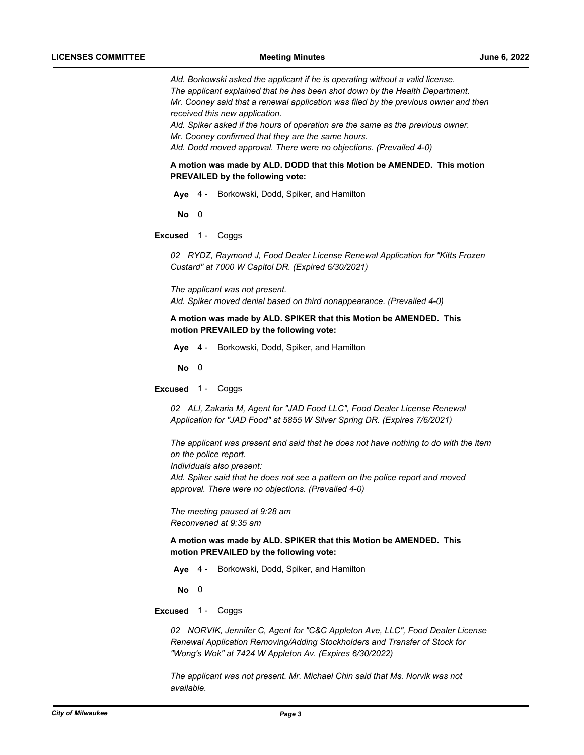*Ald. Borkowski asked the applicant if he is operating without a valid license. The applicant explained that he has been shot down by the Health Department. Mr. Cooney said that a renewal application was filed by the previous owner and then received this new application.*

*Ald. Spiker asked if the hours of operation are the same as the previous owner.*

*Mr. Cooney confirmed that they are the same hours.*

*Ald. Dodd moved approval. There were no objections. (Prevailed 4-0)*

**A motion was made by ALD. DODD that this Motion be AMENDED. This motion PREVAILED by the following vote:**

**Aye** 4 - Borkowski, Dodd, Spiker, and Hamilton

**No** 0

**Excused** 1 - Coggs

*02 RYDZ, Raymond J, Food Dealer License Renewal Application for "Kitts Frozen Custard" at 7000 W Capitol DR. (Expired 6/30/2021)*

*The applicant was not present. Ald. Spiker moved denial based on third nonappearance. (Prevailed 4-0)*

**A motion was made by ALD. SPIKER that this Motion be AMENDED. This motion PREVAILED by the following vote:**

**Aye** 4 - Borkowski, Dodd, Spiker, and Hamilton

**No** 0

**Excused** 1 - Coggs

*02 ALI, Zakaria M, Agent for "JAD Food LLC", Food Dealer License Renewal Application for "JAD Food" at 5855 W Silver Spring DR. (Expires 7/6/2021)*

*The applicant was present and said that he does not have nothing to do with the item on the police report.*

*Individuals also present:*

*Ald. Spiker said that he does not see a pattern on the police report and moved approval. There were no objections. (Prevailed 4-0)*

*The meeting paused at 9:28 am Reconvened at 9:35 am*

**A motion was made by ALD. SPIKER that this Motion be AMENDED. This motion PREVAILED by the following vote:**

**Aye** 4 - Borkowski, Dodd, Spiker, and Hamilton

**No** 0

**Excused** 1 - Coggs

*02 NORVIK, Jennifer C, Agent for "C&C Appleton Ave, LLC", Food Dealer License Renewal Application Removing/Adding Stockholders and Transfer of Stock for "Wong's Wok" at 7424 W Appleton Av. (Expires 6/30/2022)*

*The applicant was not present. Mr. Michael Chin said that Ms. Norvik was not available.*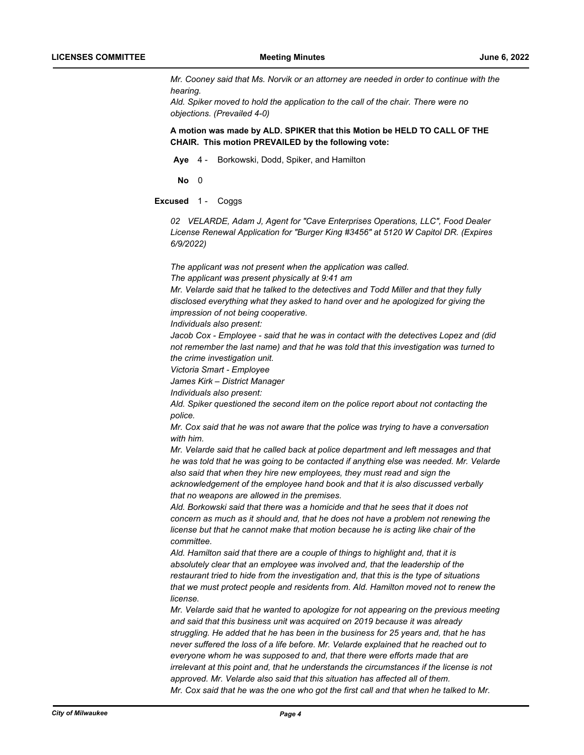*Mr. Cooney said that Ms. Norvik or an attorney are needed in order to continue with the hearing.* 

*Ald. Spiker moved to hold the application to the call of the chair. There were no objections. (Prevailed 4-0)*

**A motion was made by ALD. SPIKER that this Motion be HELD TO CALL OF THE CHAIR. This motion PREVAILED by the following vote:**

**Aye** 4 - Borkowski, Dodd, Spiker, and Hamilton

**No** 0

**Excused** 1 - Coggs

*02 VELARDE, Adam J, Agent for "Cave Enterprises Operations, LLC", Food Dealer License Renewal Application for "Burger King #3456" at 5120 W Capitol DR. (Expires 6/9/2022)*

*The applicant was not present when the application was called.*

*The applicant was present physically at 9:41 am*

*Mr. Velarde said that he talked to the detectives and Todd Miller and that they fully disclosed everything what they asked to hand over and he apologized for giving the impression of not being cooperative.*

*Individuals also present:*

*Jacob Cox - Employee - said that he was in contact with the detectives Lopez and (did not remember the last name) and that he was told that this investigation was turned to the crime investigation unit.*

*Victoria Smart - Employee*

*James Kirk – District Manager*

*Individuals also present:*

*Ald. Spiker questioned the second item on the police report about not contacting the police.*

*Mr. Cox said that he was not aware that the police was trying to have a conversation with him.* 

*Mr. Velarde said that he called back at police department and left messages and that he was told that he was going to be contacted if anything else was needed. Mr. Velarde also said that when they hire new employees, they must read and sign the acknowledgement of the employee hand book and that it is also discussed verbally that no weapons are allowed in the premises.*

*Ald. Borkowski said that there was a homicide and that he sees that it does not concern as much as it should and, that he does not have a problem not renewing the license but that he cannot make that motion because he is acting like chair of the committee.*

*Ald. Hamilton said that there are a couple of things to highlight and, that it is absolutely clear that an employee was involved and, that the leadership of the restaurant tried to hide from the investigation and, that this is the type of situations that we must protect people and residents from. Ald. Hamilton moved not to renew the license.*

*Mr. Velarde said that he wanted to apologize for not appearing on the previous meeting and said that this business unit was acquired on 2019 because it was already struggling. He added that he has been in the business for 25 years and, that he has never suffered the loss of a life before. Mr. Velarde explained that he reached out to everyone whom he was supposed to and, that there were efforts made that are irrelevant at this point and, that he understands the circumstances if the license is not approved. Mr. Velarde also said that this situation has affected all of them. Mr. Cox said that he was the one who got the first call and that when he talked to Mr.*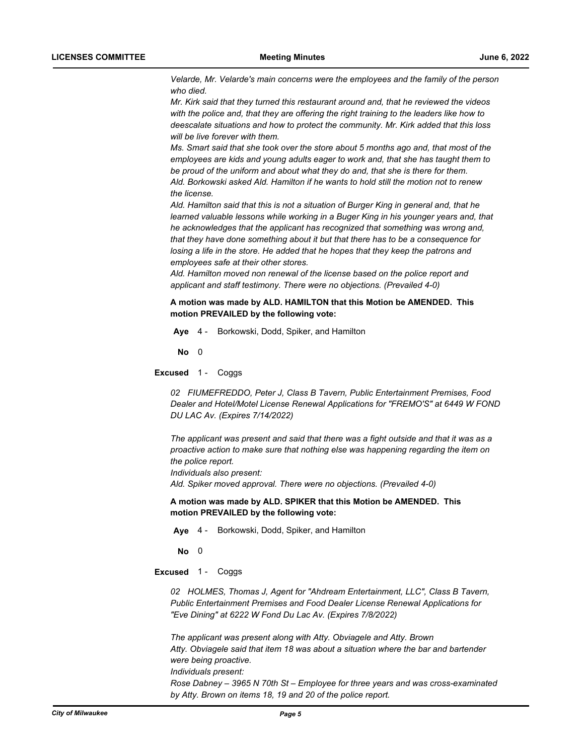*Velarde, Mr. Velarde's main concerns were the employees and the family of the person who died.*

*Mr. Kirk said that they turned this restaurant around and, that he reviewed the videos with the police and, that they are offering the right training to the leaders like how to deescalate situations and how to protect the community. Mr. Kirk added that this loss will be live forever with them.*

*Ms. Smart said that she took over the store about 5 months ago and, that most of the employees are kids and young adults eager to work and, that she has taught them to be proud of the uniform and about what they do and, that she is there for them. Ald. Borkowski asked Ald. Hamilton if he wants to hold still the motion not to renew the license.* 

*Ald. Hamilton said that this is not a situation of Burger King in general and, that he learned valuable lessons while working in a Buger King in his younger years and, that he acknowledges that the applicant has recognized that something was wrong and, that they have done something about it but that there has to be a consequence for losing a life in the store. He added that he hopes that they keep the patrons and employees safe at their other stores.*

*Ald. Hamilton moved non renewal of the license based on the police report and applicant and staff testimony. There were no objections. (Prevailed 4-0)*

**A motion was made by ALD. HAMILTON that this Motion be AMENDED. This motion PREVAILED by the following vote:**

**Aye** 4 - Borkowski, Dodd, Spiker, and Hamilton

**No** 0

**Excused** 1 - Coggs

*02 FIUMEFREDDO, Peter J, Class B Tavern, Public Entertainment Premises, Food Dealer and Hotel/Motel License Renewal Applications for "FREMO'S" at 6449 W FOND DU LAC Av. (Expires 7/14/2022)*

*The applicant was present and said that there was a fight outside and that it was as a proactive action to make sure that nothing else was happening regarding the item on the police report. Individuals also present:*

*Ald. Spiker moved approval. There were no objections. (Prevailed 4-0)*

**A motion was made by ALD. SPIKER that this Motion be AMENDED. This motion PREVAILED by the following vote:**

**Aye** 4 - Borkowski, Dodd, Spiker, and Hamilton

**No** 0

**Excused** 1 - Coggs

*02 HOLMES, Thomas J, Agent for "Ahdream Entertainment, LLC", Class B Tavern, Public Entertainment Premises and Food Dealer License Renewal Applications for "Eve Dining" at 6222 W Fond Du Lac Av. (Expires 7/8/2022)*

*The applicant was present along with Atty. Obviagele and Atty. Brown Atty. Obviagele said that item 18 was about a situation where the bar and bartender were being proactive. Individuals present: Rose Dabney – 3965 N 70th St – Employee for three years and was cross-examinated by Atty. Brown on items 18, 19 and 20 of the police report.*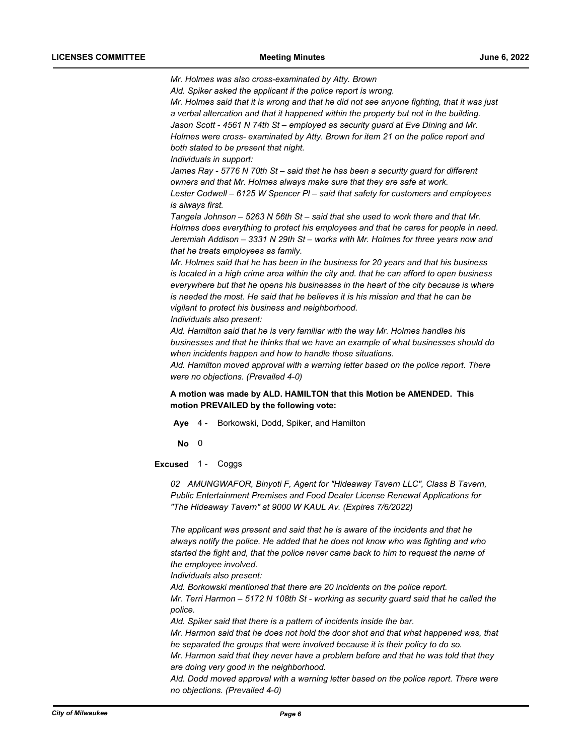*Mr. Holmes was also cross-examinated by Atty. Brown* 

*Ald. Spiker asked the applicant if the police report is wrong.*

*Mr. Holmes said that it is wrong and that he did not see anyone fighting, that it was just a verbal altercation and that it happened within the property but not in the building. Jason Scott - 4561 N 74th St – employed as security guard at Eve Dining and Mr. Holmes were cross- examinated by Atty. Brown for item 21 on the police report and both stated to be present that night.*

*Individuals in support:*

*James Ray - 5776 N 70th St – said that he has been a security guard for different owners and that Mr. Holmes always make sure that they are safe at work. Lester Codwell – 6125 W Spencer Pl – said that safety for customers and employees is always first.*

*Tangela Johnson – 5263 N 56th St – said that she used to work there and that Mr. Holmes does everything to protect his employees and that he cares for people in need. Jeremiah Addison – 3331 N 29th St – works with Mr. Holmes for three years now and that he treats employees as family.*

*Mr. Holmes said that he has been in the business for 20 years and that his business is located in a high crime area within the city and. that he can afford to open business everywhere but that he opens his businesses in the heart of the city because is where is needed the most. He said that he believes it is his mission and that he can be vigilant to protect his business and neighborhood.*

*Individuals also present:*

*Ald. Hamilton said that he is very familiar with the way Mr. Holmes handles his businesses and that he thinks that we have an example of what businesses should do when incidents happen and how to handle those situations.*

*Ald. Hamilton moved approval with a warning letter based on the police report. There were no objections. (Prevailed 4-0)*

## **A motion was made by ALD. HAMILTON that this Motion be AMENDED. This motion PREVAILED by the following vote:**

**Aye** 4 - Borkowski, Dodd, Spiker, and Hamilton

**No** 0

#### **Excused** 1 - Coggs

*02 AMUNGWAFOR, Binyoti F, Agent for "Hideaway Tavern LLC", Class B Tavern, Public Entertainment Premises and Food Dealer License Renewal Applications for "The Hideaway Tavern" at 9000 W KAUL Av. (Expires 7/6/2022)*

*The applicant was present and said that he is aware of the incidents and that he always notify the police. He added that he does not know who was fighting and who started the fight and, that the police never came back to him to request the name of the employee involved.*

*Individuals also present:*

*Ald. Borkowski mentioned that there are 20 incidents on the police report. Mr. Terri Harmon – 5172 N 108th St - working as security guard said that he called the police.*

*Ald. Spiker said that there is a pattern of incidents inside the bar.*

*Mr. Harmon said that he does not hold the door shot and that what happened was, that he separated the groups that were involved because it is their policy to do so.*

*Mr. Harmon said that they never have a problem before and that he was told that they are doing very good in the neighborhood.*

*Ald. Dodd moved approval with a warning letter based on the police report. There were no objections. (Prevailed 4-0)*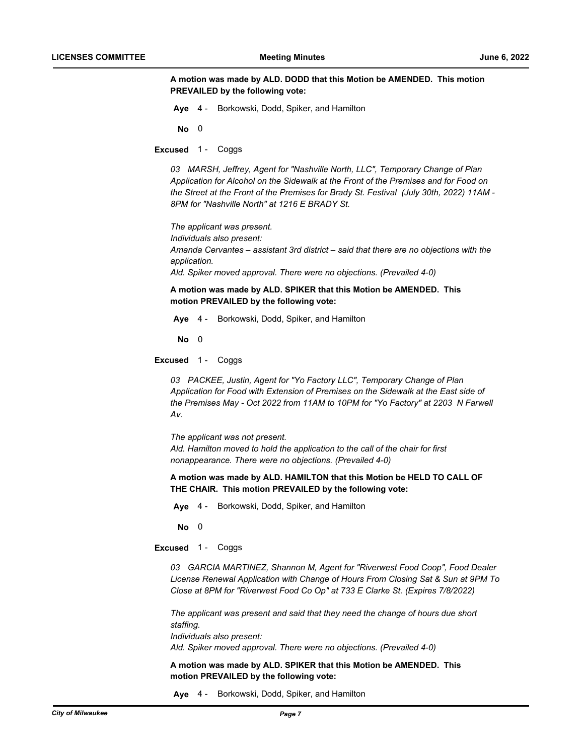**A motion was made by ALD. DODD that this Motion be AMENDED. This motion PREVAILED by the following vote:**

**Aye** 4 - Borkowski, Dodd, Spiker, and Hamilton

**No** 0

**Excused** 1 - Coggs

*03 MARSH, Jeffrey, Agent for "Nashville North, LLC", Temporary Change of Plan Application for Alcohol on the Sidewalk at the Front of the Premises and for Food on the Street at the Front of the Premises for Brady St. Festival (July 30th, 2022) 11AM - 8PM for "Nashville North" at 1216 E BRADY St.*

*The applicant was present. Individuals also present: Amanda Cervantes – assistant 3rd district – said that there are no objections with the application. Ald. Spiker moved approval. There were no objections. (Prevailed 4-0)*

**A motion was made by ALD. SPIKER that this Motion be AMENDED. This motion PREVAILED by the following vote:**

**Aye** 4 - Borkowski, Dodd, Spiker, and Hamilton

**No** 0

**Excused** 1 - Coggs

*03 PACKEE, Justin, Agent for "Yo Factory LLC", Temporary Change of Plan Application for Food with Extension of Premises on the Sidewalk at the East side of the Premises May - Oct 2022 from 11AM to 10PM for "Yo Factory" at 2203 N Farwell Av.*

*The applicant was not present. Ald. Hamilton moved to hold the application to the call of the chair for first nonappearance. There were no objections. (Prevailed 4-0)*

**A motion was made by ALD. HAMILTON that this Motion be HELD TO CALL OF THE CHAIR. This motion PREVAILED by the following vote:**

**Aye** 4 - Borkowski, Dodd, Spiker, and Hamilton

**No** 0

**Excused** 1 - Coggs

*03 GARCIA MARTINEZ, Shannon M, Agent for "Riverwest Food Coop", Food Dealer License Renewal Application with Change of Hours From Closing Sat & Sun at 9PM To Close at 8PM for "Riverwest Food Co Op" at 733 E Clarke St. (Expires 7/8/2022)*

*The applicant was present and said that they need the change of hours due short staffing. Individuals also present:*

*Ald. Spiker moved approval. There were no objections. (Prevailed 4-0)*

**A motion was made by ALD. SPIKER that this Motion be AMENDED. This motion PREVAILED by the following vote:**

**Aye** 4 - Borkowski, Dodd, Spiker, and Hamilton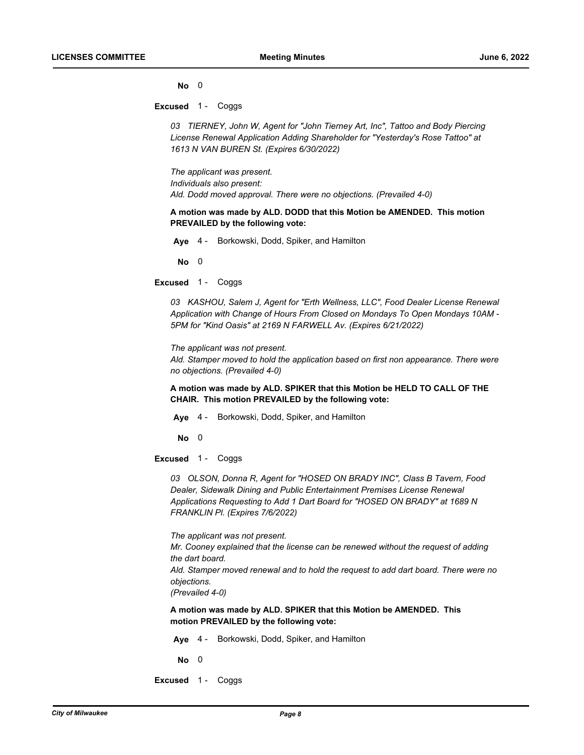**No** 0

**Excused** 1 - Coggs

*03 TIERNEY, John W, Agent for "John Tierney Art, Inc", Tattoo and Body Piercing License Renewal Application Adding Shareholder for "Yesterday's Rose Tattoo" at 1613 N VAN BUREN St. (Expires 6/30/2022)*

*The applicant was present. Individuals also present: Ald. Dodd moved approval. There were no objections. (Prevailed 4-0)*

**A motion was made by ALD. DODD that this Motion be AMENDED. This motion PREVAILED by the following vote:**

**Aye** 4 - Borkowski, Dodd, Spiker, and Hamilton

**No** 0

**Excused** 1 - Coggs

03 KASHOU, Salem J, Agent for "Erth Wellness, LLC", Food Dealer License Renewal *Application with Change of Hours From Closed on Mondays To Open Mondays 10AM - 5PM for "Kind Oasis" at 2169 N FARWELL Av. (Expires 6/21/2022)*

*The applicant was not present.*

*Ald. Stamper moved to hold the application based on first non appearance. There were no objections. (Prevailed 4-0)*

**A motion was made by ALD. SPIKER that this Motion be HELD TO CALL OF THE CHAIR. This motion PREVAILED by the following vote:**

**Aye** 4 - Borkowski, Dodd, Spiker, and Hamilton

**No** 0

**Excused** 1 - Coggs

*03 OLSON, Donna R, Agent for "HOSED ON BRADY INC", Class B Tavern, Food Dealer, Sidewalk Dining and Public Entertainment Premises License Renewal Applications Requesting to Add 1 Dart Board for "HOSED ON BRADY" at 1689 N FRANKLIN Pl. (Expires 7/6/2022)*

*The applicant was not present. Mr. Cooney explained that the license can be renewed without the request of adding the dart board. Ald. Stamper moved renewal and to hold the request to add dart board. There were no objections. (Prevailed 4-0)*

**A motion was made by ALD. SPIKER that this Motion be AMENDED. This motion PREVAILED by the following vote:**

**Aye** 4 - Borkowski, Dodd, Spiker, and Hamilton

**No** 0

**Excused** 1 - Coggs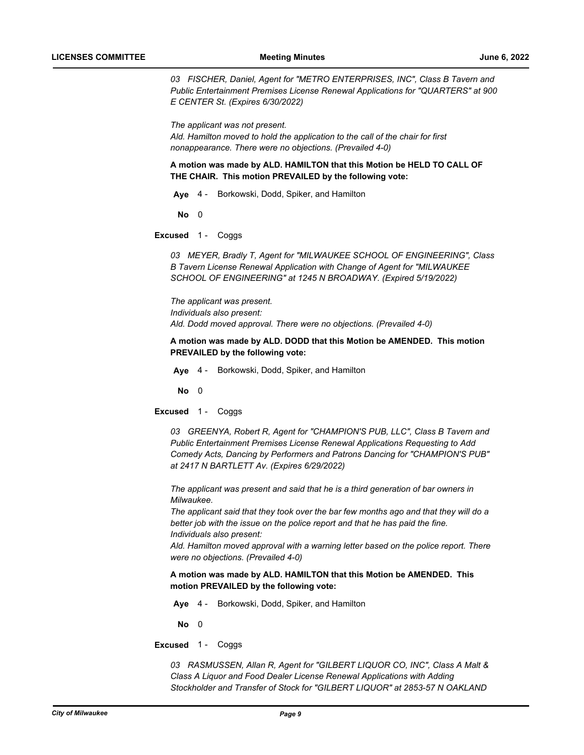*03 FISCHER, Daniel, Agent for "METRO ENTERPRISES, INC", Class B Tavern and Public Entertainment Premises License Renewal Applications for "QUARTERS" at 900 E CENTER St. (Expires 6/30/2022)*

*The applicant was not present. Ald. Hamilton moved to hold the application to the call of the chair for first nonappearance. There were no objections. (Prevailed 4-0)*

**A motion was made by ALD. HAMILTON that this Motion be HELD TO CALL OF THE CHAIR. This motion PREVAILED by the following vote:**

**Aye** 4 - Borkowski, Dodd, Spiker, and Hamilton

**No** 0

**Excused** 1 - Coggs

*03 MEYER, Bradly T, Agent for "MILWAUKEE SCHOOL OF ENGINEERING", Class B Tavern License Renewal Application with Change of Agent for "MILWAUKEE SCHOOL OF ENGINEERING" at 1245 N BROADWAY. (Expired 5/19/2022)*

*The applicant was present. Individuals also present: Ald. Dodd moved approval. There were no objections. (Prevailed 4-0)*

**A motion was made by ALD. DODD that this Motion be AMENDED. This motion PREVAILED by the following vote:**

**Aye** 4 - Borkowski, Dodd, Spiker, and Hamilton

**No** 0

**Excused** 1 - Coggs

*03 GREENYA, Robert R, Agent for "CHAMPION'S PUB, LLC", Class B Tavern and Public Entertainment Premises License Renewal Applications Requesting to Add Comedy Acts, Dancing by Performers and Patrons Dancing for "CHAMPION'S PUB" at 2417 N BARTLETT Av. (Expires 6/29/2022)*

*The applicant was present and said that he is a third generation of bar owners in Milwaukee.*

*The applicant said that they took over the bar few months ago and that they will do a better job with the issue on the police report and that he has paid the fine. Individuals also present:*

*Ald. Hamilton moved approval with a warning letter based on the police report. There were no objections. (Prevailed 4-0)*

**A motion was made by ALD. HAMILTON that this Motion be AMENDED. This motion PREVAILED by the following vote:**

**Aye** 4 - Borkowski, Dodd, Spiker, and Hamilton

**No** 0

**Excused** 1 - Coggs

*03 RASMUSSEN, Allan R, Agent for "GILBERT LIQUOR CO, INC", Class A Malt & Class A Liquor and Food Dealer License Renewal Applications with Adding Stockholder and Transfer of Stock for "GILBERT LIQUOR" at 2853-57 N OAKLAND*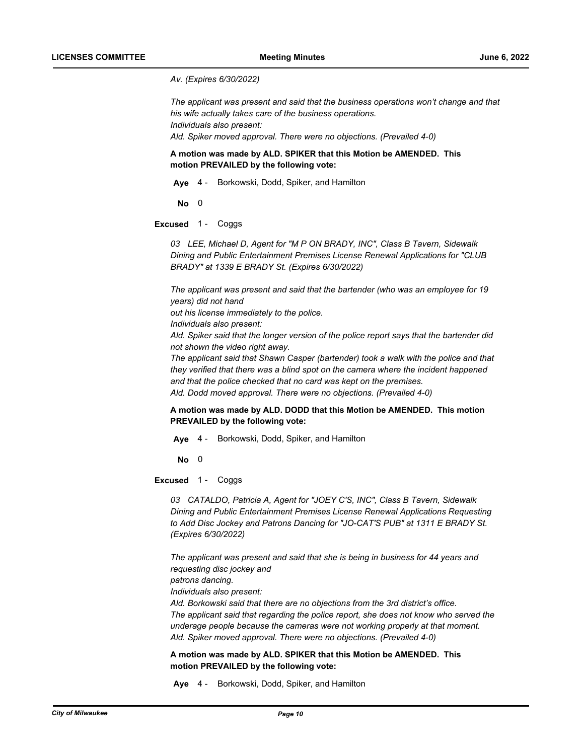*Av. (Expires 6/30/2022)*

*The applicant was present and said that the business operations won't change and that his wife actually takes care of the business operations. Individuals also present: Ald. Spiker moved approval. There were no objections. (Prevailed 4-0)*

**A motion was made by ALD. SPIKER that this Motion be AMENDED. This motion PREVAILED by the following vote:**

**Aye** 4 - Borkowski, Dodd, Spiker, and Hamilton

**No** 0

**Excused** 1 - Coggs

*03 LEE, Michael D, Agent for "M P ON BRADY, INC", Class B Tavern, Sidewalk Dining and Public Entertainment Premises License Renewal Applications for "CLUB BRADY" at 1339 E BRADY St. (Expires 6/30/2022)*

*The applicant was present and said that the bartender (who was an employee for 19 years) did not hand* 

*out his license immediately to the police.*

*Individuals also present:*

*Ald. Spiker said that the longer version of the police report says that the bartender did not shown the video right away.*

*The applicant said that Shawn Casper (bartender) took a walk with the police and that they verified that there was a blind spot on the camera where the incident happened and that the police checked that no card was kept on the premises. Ald. Dodd moved approval. There were no objections. (Prevailed 4-0)*

**A motion was made by ALD. DODD that this Motion be AMENDED. This motion PREVAILED by the following vote:**

**Aye** 4 - Borkowski, Dodd, Spiker, and Hamilton

**No** 0

**Excused** 1 - Coggs

*03 CATALDO, Patricia A, Agent for "JOEY C'S, INC", Class B Tavern, Sidewalk Dining and Public Entertainment Premises License Renewal Applications Requesting to Add Disc Jockey and Patrons Dancing for "JO-CAT'S PUB" at 1311 E BRADY St. (Expires 6/30/2022)*

*The applicant was present and said that she is being in business for 44 years and requesting disc jockey and* 

*patrons dancing.*

*Individuals also present:*

*Ald. Borkowski said that there are no objections from the 3rd district's office. The applicant said that regarding the police report, she does not know who served the underage people because the cameras were not working properly at that moment. Ald. Spiker moved approval. There were no objections. (Prevailed 4-0)*

**A motion was made by ALD. SPIKER that this Motion be AMENDED. This motion PREVAILED by the following vote:**

**Aye** 4 - Borkowski, Dodd, Spiker, and Hamilton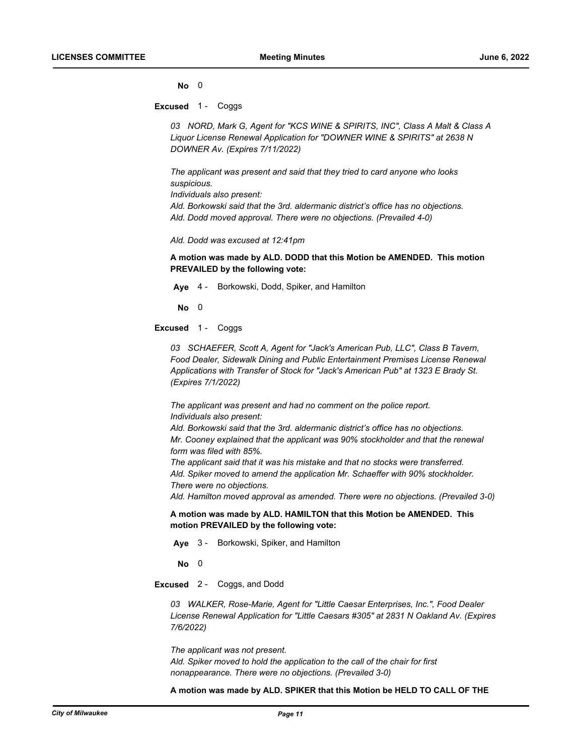**No** 0

**Excused** 1 - Coggs

*03 NORD, Mark G, Agent for "KCS WINE & SPIRITS, INC", Class A Malt & Class A Liquor License Renewal Application for "DOWNER WINE & SPIRITS" at 2638 N DOWNER Av. (Expires 7/11/2022)*

*The applicant was present and said that they tried to card anyone who looks suspicious.*

*Individuals also present:*

*Ald. Borkowski said that the 3rd. aldermanic district's office has no objections. Ald. Dodd moved approval. There were no objections. (Prevailed 4-0)*

*Ald. Dodd was excused at 12:41pm*

**A motion was made by ALD. DODD that this Motion be AMENDED. This motion PREVAILED by the following vote:**

**Aye** 4 - Borkowski, Dodd, Spiker, and Hamilton

**No** 0

**Excused** 1 - Coggs

*03 SCHAEFER, Scott A, Agent for "Jack's American Pub, LLC", Class B Tavern, Food Dealer, Sidewalk Dining and Public Entertainment Premises License Renewal Applications with Transfer of Stock for "Jack's American Pub" at 1323 E Brady St. (Expires 7/1/2022)*

*The applicant was present and had no comment on the police report. Individuals also present:*

*Ald. Borkowski said that the 3rd. aldermanic district's office has no objections. Mr. Cooney explained that the applicant was 90% stockholder and that the renewal form was filed with 85%.*

*The applicant said that it was his mistake and that no stocks were transferred. Ald. Spiker moved to amend the application Mr. Schaeffer with 90% stockholder. There were no objections.*

*Ald. Hamilton moved approval as amended. There were no objections. (Prevailed 3-0)*

**A motion was made by ALD. HAMILTON that this Motion be AMENDED. This motion PREVAILED by the following vote:**

**Aye** 3 - Borkowski, Spiker, and Hamilton

**No** 0

**Excused** 2 - Coggs, and Dodd

*03 WALKER, Rose-Marie, Agent for "Little Caesar Enterprises, Inc.", Food Dealer License Renewal Application for "Little Caesars #305" at 2831 N Oakland Av. (Expires 7/6/2022)*

*The applicant was not present. Ald. Spiker moved to hold the application to the call of the chair for first nonappearance. There were no objections. (Prevailed 3-0)*

**A motion was made by ALD. SPIKER that this Motion be HELD TO CALL OF THE**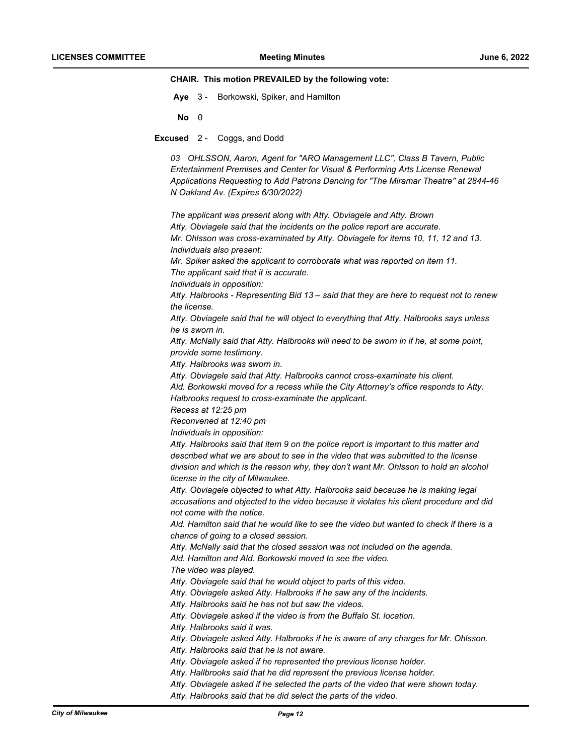### **CHAIR. This motion PREVAILED by the following vote:**

- **Aye** 3 Borkowski, Spiker, and Hamilton
- **No** 0
- **Excused** 2 Coggs, and Dodd

*03 OHLSSON, Aaron, Agent for "ARO Management LLC", Class B Tavern, Public Entertainment Premises and Center for Visual & Performing Arts License Renewal Applications Requesting to Add Patrons Dancing for "The Miramar Theatre" at 2844-46 N Oakland Av. (Expires 6/30/2022)*

*The applicant was present along with Atty. Obviagele and Atty. Brown Atty. Obviagele said that the incidents on the police report are accurate. Mr. Ohlsson was cross-examinated by Atty. Obviagele for items 10, 11, 12 and 13. Individuals also present: Mr. Spiker asked the applicant to corroborate what was reported on item 11. The applicant said that it is accurate. Individuals in opposition: Atty. Halbrooks - Representing Bid 13 – said that they are here to request not to renew the license. Atty. Obviagele said that he will object to everything that Atty. Halbrooks says unless he is sworn in. Atty. McNally said that Atty. Halbrooks will need to be sworn in if he, at some point, provide some testimony. Atty. Halbrooks was sworn in. Atty. Obviagele said that Atty. Halbrooks cannot cross-examinate his client. Ald. Borkowski moved for a recess while the City Attorney's office responds to Atty. Halbrooks request to cross-examinate the applicant. Recess at 12:25 pm Reconvened at 12:40 pm Individuals in opposition: Atty. Halbrooks said that item 9 on the police report is important to this matter and described what we are about to see in the video that was submitted to the license division and which is the reason why, they don't want Mr. Ohlsson to hold an alcohol license in the city of Milwaukee. Atty. Obviagele objected to what Atty. Halbrooks said because he is making legal accusations and objected to the video because it violates his client procedure and did not come with the notice. Ald. Hamilton said that he would like to see the video but wanted to check if there is a chance of going to a closed session. Atty. McNally said that the closed session was not included on the agenda. Ald. Hamilton and Ald. Borkowski moved to see the video. The video was played. Atty. Obviagele said that he would object to parts of this video. Atty. Obviagele asked Atty. Halbrooks if he saw any of the incidents. Atty. Halbrooks said he has not but saw the videos. Atty. Obviagele asked if the video is from the Buffalo St. location. Atty. Halbrooks said it was. Atty. Obviagele asked Atty. Halbrooks if he is aware of any charges for Mr. Ohlsson. Atty. Halbrooks said that he is not aware. Atty. Obviagele asked if he represented the previous license holder. Atty. Hallbrooks said that he did represent the previous license holder.*

*Atty. Obviagele asked if he selected the parts of the video that were shown today. Atty. Halbrooks said that he did select the parts of the video.*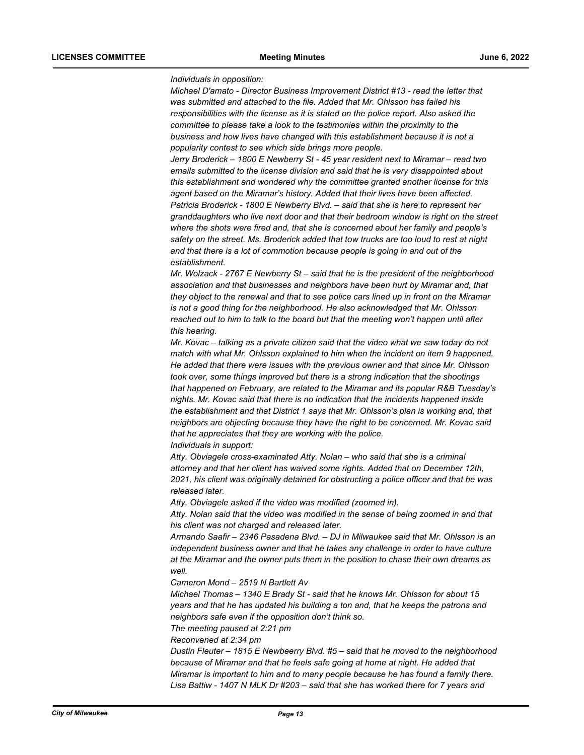### *Individuals in opposition:*

*Michael D'amato - Director Business Improvement District #13 - read the letter that was submitted and attached to the file. Added that Mr. Ohlsson has failed his responsibilities with the license as it is stated on the police report. Also asked the committee to please take a look to the testimonies within the proximity to the business and how lives have changed with this establishment because it is not a popularity contest to see which side brings more people.*

*Jerry Broderick – 1800 E Newberry St - 45 year resident next to Miramar – read two emails submitted to the license division and said that he is very disappointed about this establishment and wondered why the committee granted another license for this agent based on the Miramar's history. Added that their lives have been affected. Patricia Broderick - 1800 E Newberry Blvd. – said that she is here to represent her granddaughters who live next door and that their bedroom window is right on the street where the shots were fired and, that she is concerned about her family and people's safety on the street. Ms. Broderick added that tow trucks are too loud to rest at night and that there is a lot of commotion because people is going in and out of the establishment.*

*Mr. Wolzack - 2767 E Newberry St – said that he is the president of the neighborhood association and that businesses and neighbors have been hurt by Miramar and, that they object to the renewal and that to see police cars lined up in front on the Miramar is not a good thing for the neighborhood. He also acknowledged that Mr. Ohlsson reached out to him to talk to the board but that the meeting won't happen until after this hearing.* 

*Mr. Kovac – talking as a private citizen said that the video what we saw today do not match with what Mr. Ohlsson explained to him when the incident on item 9 happened. He added that there were issues with the previous owner and that since Mr. Ohlsson took over, some things improved but there is a strong indication that the shootings that happened on February, are related to the Miramar and its popular R&B Tuesday's nights. Mr. Kovac said that there is no indication that the incidents happened inside the establishment and that District 1 says that Mr. Ohlsson's plan is working and, that neighbors are objecting because they have the right to be concerned. Mr. Kovac said that he appreciates that they are working with the police.* 

*Individuals in support:*

*Atty. Obviagele cross-examinated Atty. Nolan – who said that she is a criminal attorney and that her client has waived some rights. Added that on December 12th, 2021, his client was originally detained for obstructing a police officer and that he was released later.*

*Atty. Obviagele asked if the video was modified (zoomed in).*

*Atty. Nolan said that the video was modified in the sense of being zoomed in and that his client was not charged and released later.*

*Armando Saafir – 2346 Pasadena Blvd. – DJ in Milwaukee said that Mr. Ohlsson is an independent business owner and that he takes any challenge in order to have culture at the Miramar and the owner puts them in the position to chase their own dreams as well.* 

*Cameron Mond – 2519 N Bartlett Av* 

*Michael Thomas – 1340 E Brady St - said that he knows Mr. Ohlsson for about 15 years and that he has updated his building a ton and, that he keeps the patrons and neighbors safe even if the opposition don't think so.*

*The meeting paused at 2:21 pm*

*Reconvened at 2:34 pm*

*Dustin Fleuter – 1815 E Newbeerry Blvd. #5 – said that he moved to the neighborhood because of Miramar and that he feels safe going at home at night. He added that Miramar is important to him and to many people because he has found a family there. Lisa Battiw - 1407 N MLK Dr #203 – said that she has worked there for 7 years and*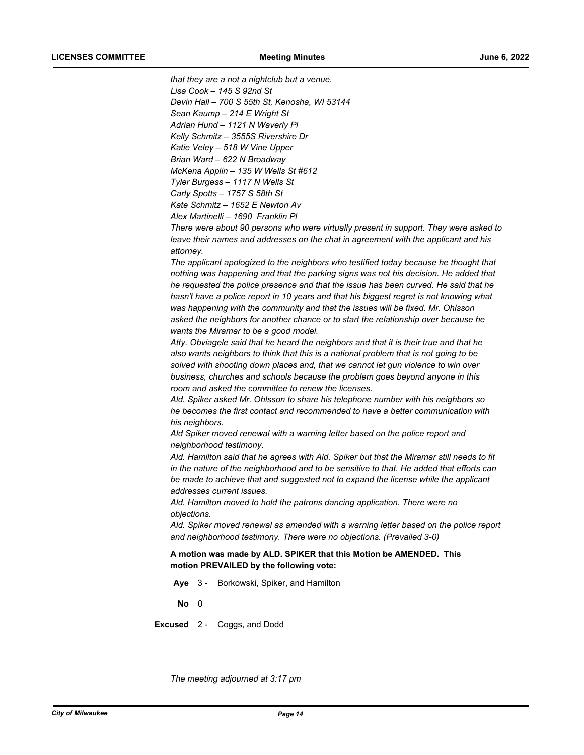*that they are a not a nightclub but a venue. Lisa Cook – 145 S 92nd St Devin Hall – 700 S 55th St, Kenosha, WI 53144 Sean Kaump – 214 E Wright St Adrian Hund – 1121 N Waverly Pl Kelly Schmitz – 3555S Rivershire Dr Katie Veley – 518 W Vine Upper Brian Ward – 622 N Broadway McKena Applin – 135 W Wells St #612 Tyler Burgess – 1117 N Wells St*

*Carly Spotts – 1757 S 58th St*

*Kate Schmitz – 1652 E Newton Av*

*Alex Martinelli – 1690 Franklin Pl*

*There were about 90 persons who were virtually present in support. They were asked to leave their names and addresses on the chat in agreement with the applicant and his attorney.*

*The applicant apologized to the neighbors who testified today because he thought that nothing was happening and that the parking signs was not his decision. He added that he requested the police presence and that the issue has been curved. He said that he hasn't have a police report in 10 years and that his biggest regret is not knowing what was happening with the community and that the issues will be fixed. Mr. Ohlsson asked the neighbors for another chance or to start the relationship over because he wants the Miramar to be a good model.*

*Atty. Obviagele said that he heard the neighbors and that it is their true and that he also wants neighbors to think that this is a national problem that is not going to be solved with shooting down places and, that we cannot let gun violence to win over business, churches and schools because the problem goes beyond anyone in this room and asked the committee to renew the licenses.*

*Ald. Spiker asked Mr. Ohlsson to share his telephone number with his neighbors so he becomes the first contact and recommended to have a better communication with his neighbors.*

*Ald Spiker moved renewal with a warning letter based on the police report and neighborhood testimony.*

*Ald. Hamilton said that he agrees with Ald. Spiker but that the Miramar still needs to fit in the nature of the neighborhood and to be sensitive to that. He added that efforts can be made to achieve that and suggested not to expand the license while the applicant addresses current issues.*

*Ald. Hamilton moved to hold the patrons dancing application. There were no objections.*

*Ald. Spiker moved renewal as amended with a warning letter based on the police report and neighborhood testimony. There were no objections. (Prevailed 3-0)*

**A motion was made by ALD. SPIKER that this Motion be AMENDED. This motion PREVAILED by the following vote:**

**Aye** 3 - Borkowski, Spiker, and Hamilton

**No** 0

**Excused** 2 - Coggs, and Dodd

*The meeting adjourned at 3:17 pm*